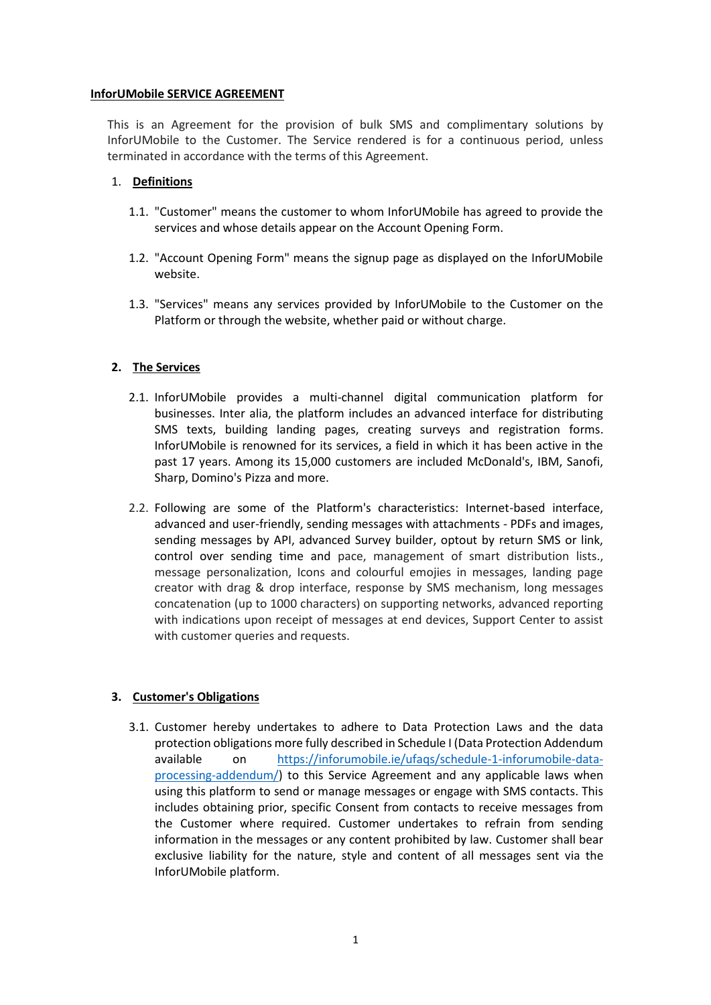#### **InforUMobile SERVICE AGREEMENT**

This is an Agreement for the provision of bulk SMS and complimentary solutions by InforUMobile to the Customer. The Service rendered is for a continuous period, unless terminated in accordance with the terms of this Agreement.

### 1. **Definitions**

- 1.1. "Customer" means the customer to whom InforUMobile has agreed to provide the services and whose details appear on the Account Opening Form.
- 1.2. "Account Opening Form" means the signup page as displayed on the InforUMobile website.
- 1.3. "Services" means any services provided by InforUMobile to the Customer on the Platform or through the website, whether paid or without charge.

## **2. The Services**

- 2.1. InforUMobile provides a multi-channel digital communication platform for businesses. Inter alia, the platform includes an advanced interface for distributing SMS texts, building landing pages, creating surveys and registration forms. InforUMobile is renowned for its services, a field in which it has been active in the past 17 years. Among its 15,000 customers are included McDonald's, IBM, Sanofi, Sharp, Domino's Pizza and more.
- 2.2. Following are some of the Platform's characteristics: Internet-based interface, advanced and user-friendly, sending messages with attachments - PDFs and images, sending messages by API, advanced Survey builder, optout by return SMS or link, control over sending time and pace, management of smart distribution lists., message personalization, Icons and colourful emojies in messages, landing page creator with drag & drop interface, response by SMS mechanism, long messages concatenation (up to 1000 characters) on supporting networks, advanced reporting with indications upon receipt of messages at end devices, Support Center to assist with customer queries and requests.

# **3. Customer's Obligations**

3.1. Customer hereby undertakes to adhere to Data Protection Laws and the data protection obligations more fully described in Schedule I (Data Protection Addendum available on [https://inforumobile.ie/ufaqs/schedule-1-inforumobile-data](https://inforumobile.ie/ufaqs/schedule-1-inforumobile-data-processing-addendum/)[processing-addendum/\)](https://inforumobile.ie/ufaqs/schedule-1-inforumobile-data-processing-addendum/) to this Service Agreement and any applicable laws when using this platform to send or manage messages or engage with SMS contacts. This includes obtaining prior, specific Consent from contacts to receive messages from the Customer where required. Customer undertakes to refrain from sending information in the messages or any content prohibited by law. Customer shall bear exclusive liability for the nature, style and content of all messages sent via the InforUMobile platform.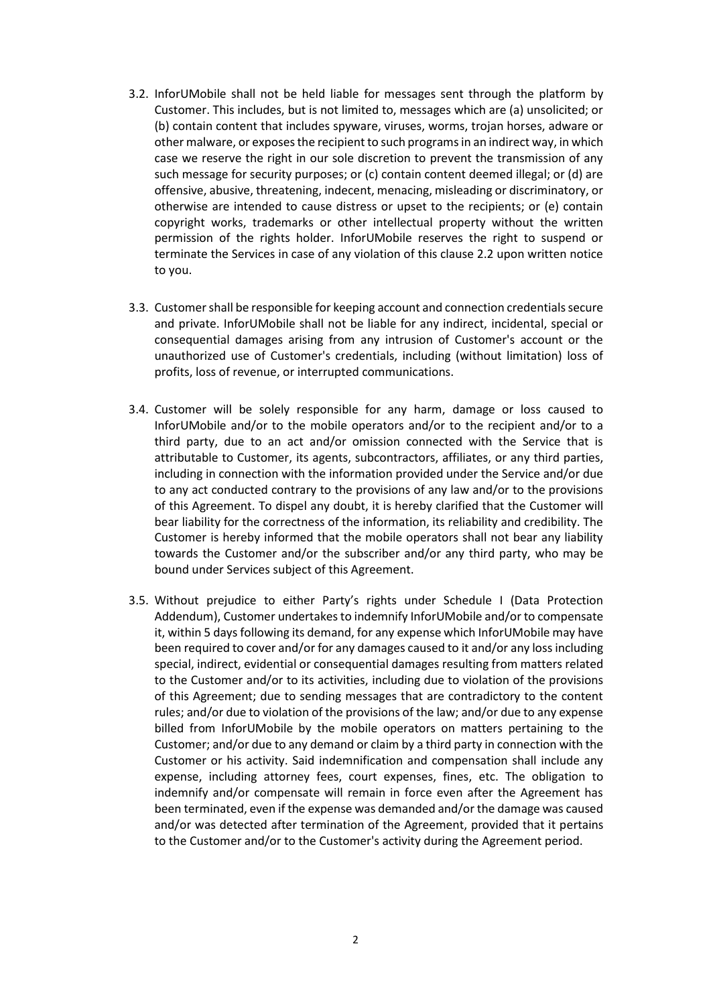- 3.2. InforUMobile shall not be held liable for messages sent through the platform by Customer. This includes, but is not limited to, messages which are (a) unsolicited; or (b) contain content that includes spyware, viruses, worms, trojan horses, adware or other malware, or exposes the recipient to such programs in an indirect way, in which case we reserve the right in our sole discretion to prevent the transmission of any such message for security purposes; or (c) contain content deemed illegal; or (d) are offensive, abusive, threatening, indecent, menacing, misleading or discriminatory, or otherwise are intended to cause distress or upset to the recipients; or (e) contain copyright works, trademarks or other intellectual property without the written permission of the rights holder. InforUMobile reserves the right to suspend or terminate the Services in case of any violation of this clause 2.2 upon written notice to you.
- 3.3. Customer shall be responsible for keeping account and connection credentials secure and private. InforUMobile shall not be liable for any indirect, incidental, special or consequential damages arising from any intrusion of Customer's account or the unauthorized use of Customer's credentials, including (without limitation) loss of profits, loss of revenue, or interrupted communications.
- 3.4. Customer will be solely responsible for any harm, damage or loss caused to InforUMobile and/or to the mobile operators and/or to the recipient and/or to a third party, due to an act and/or omission connected with the Service that is attributable to Customer, its agents, subcontractors, affiliates, or any third parties, including in connection with the information provided under the Service and/or due to any act conducted contrary to the provisions of any law and/or to the provisions of this Agreement. To dispel any doubt, it is hereby clarified that the Customer will bear liability for the correctness of the information, its reliability and credibility. The Customer is hereby informed that the mobile operators shall not bear any liability towards the Customer and/or the subscriber and/or any third party, who may be bound under Services subject of this Agreement.
- 3.5. Without prejudice to either Party's rights under Schedule I (Data Protection Addendum), Customer undertakes to indemnify InforUMobile and/or to compensate it, within 5 days following its demand, for any expense which InforUMobile may have been required to cover and/or for any damages caused to it and/or any loss including special, indirect, evidential or consequential damages resulting from matters related to the Customer and/or to its activities, including due to violation of the provisions of this Agreement; due to sending messages that are contradictory to the content rules; and/or due to violation of the provisions of the law; and/or due to any expense billed from InforUMobile by the mobile operators on matters pertaining to the Customer; and/or due to any demand or claim by a third party in connection with the Customer or his activity. Said indemnification and compensation shall include any expense, including attorney fees, court expenses, fines, etc. The obligation to indemnify and/or compensate will remain in force even after the Agreement has been terminated, even if the expense was demanded and/or the damage was caused and/or was detected after termination of the Agreement, provided that it pertains to the Customer and/or to the Customer's activity during the Agreement period.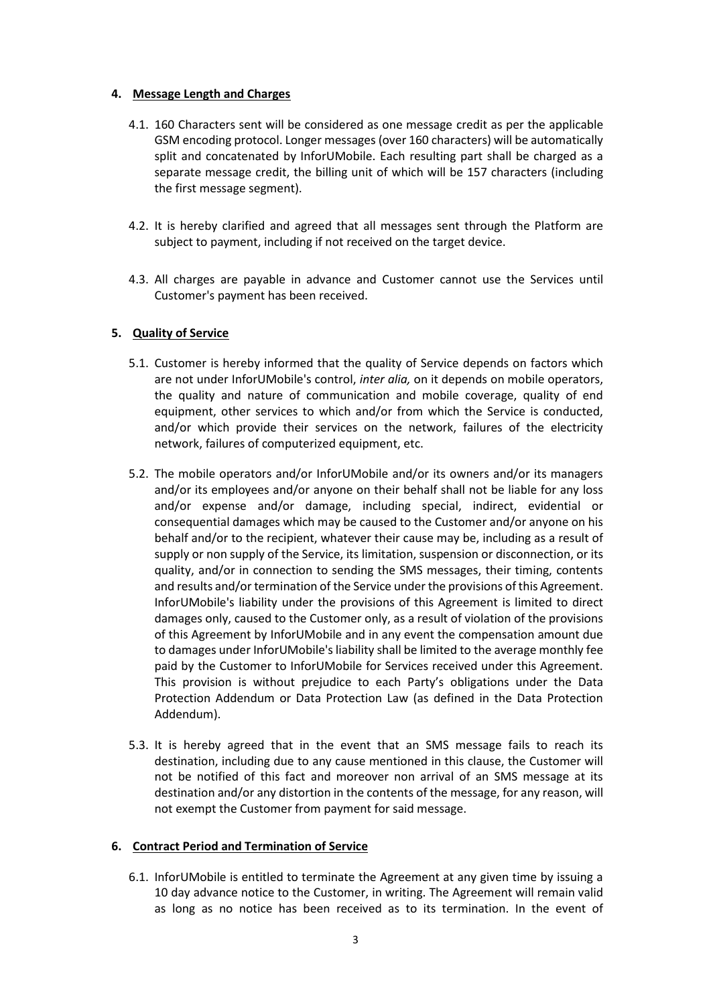#### **4. Message Length and Charges**

- 4.1. 160 Characters sent will be considered as one message credit as per the applicable GSM encoding protocol. Longer messages (over 160 characters) will be automatically split and concatenated by InforUMobile. Each resulting part shall be charged as a separate message credit, the billing unit of which will be 157 characters (including the first message segment).
- 4.2. It is hereby clarified and agreed that all messages sent through the Platform are subject to payment, including if not received on the target device.
- 4.3. All charges are payable in advance and Customer cannot use the Services until Customer's payment has been received.

## **5. Quality of Service**

- 5.1. Customer is hereby informed that the quality of Service depends on factors which are not under InforUMobile's control, *inter alia,* on it depends on mobile operators, the quality and nature of communication and mobile coverage, quality of end equipment, other services to which and/or from which the Service is conducted, and/or which provide their services on the network, failures of the electricity network, failures of computerized equipment, etc.
- 5.2. The mobile operators and/or InforUMobile and/or its owners and/or its managers and/or its employees and/or anyone on their behalf shall not be liable for any loss and/or expense and/or damage, including special, indirect, evidential or consequential damages which may be caused to the Customer and/or anyone on his behalf and/or to the recipient, whatever their cause may be, including as a result of supply or non supply of the Service, its limitation, suspension or disconnection, or its quality, and/or in connection to sending the SMS messages, their timing, contents and results and/or termination of the Service under the provisions of this Agreement. InforUMobile's liability under the provisions of this Agreement is limited to direct damages only, caused to the Customer only, as a result of violation of the provisions of this Agreement by InforUMobile and in any event the compensation amount due to damages under InforUMobile's liability shall be limited to the average monthly fee paid by the Customer to InforUMobile for Services received under this Agreement. This provision is without prejudice to each Party's obligations under the Data Protection Addendum or Data Protection Law (as defined in the Data Protection Addendum).
- 5.3. It is hereby agreed that in the event that an SMS message fails to reach its destination, including due to any cause mentioned in this clause, the Customer will not be notified of this fact and moreover non arrival of an SMS message at its destination and/or any distortion in the contents of the message, for any reason, will not exempt the Customer from payment for said message.

#### **6. Contract Period and Termination of Service**

6.1. InforUMobile is entitled to terminate the Agreement at any given time by issuing a 10 day advance notice to the Customer, in writing. The Agreement will remain valid as long as no notice has been received as to its termination. In the event of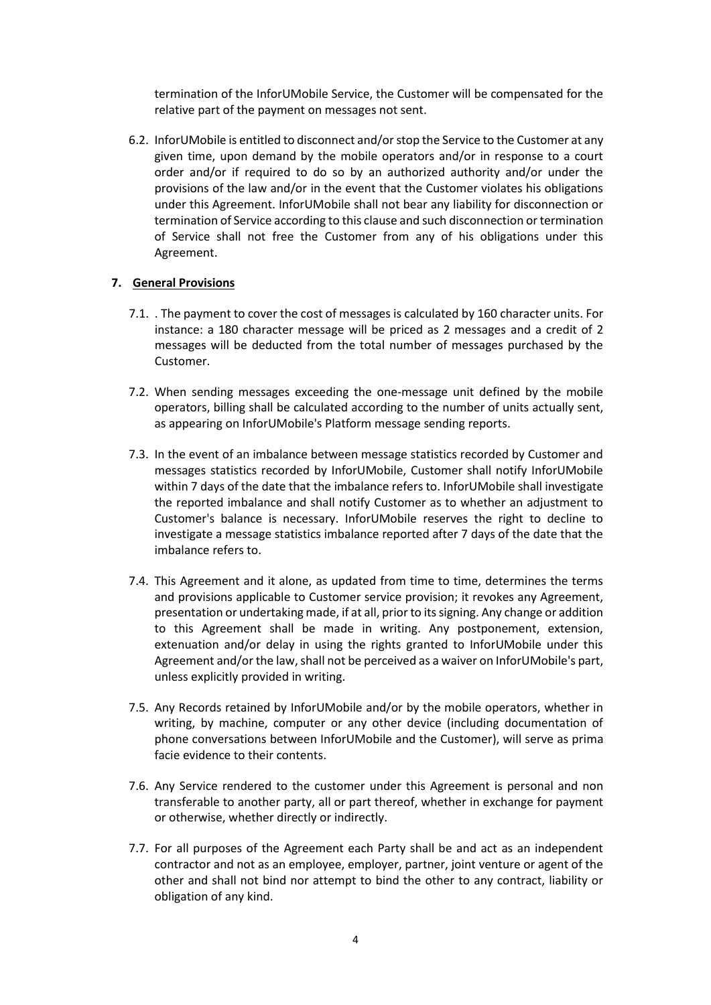termination of the InforUMobile Service, the Customer will be compensated for the relative part of the payment on messages not sent.

6.2. InforUMobile is entitled to disconnect and/or stop the Service to the Customer at any given time, upon demand by the mobile operators and/or in response to a court order and/or if required to do so by an authorized authority and/or under the provisions of the law and/or in the event that the Customer violates his obligations under this Agreement. InforUMobile shall not bear any liability for disconnection or termination of Service according to this clause and such disconnection or termination of Service shall not free the Customer from any of his obligations under this Agreement.

#### **7. General Provisions**

- 7.1. . The payment to cover the cost of messages is calculated by 160 character units. For instance: a 180 character message will be priced as 2 messages and a credit of 2 messages will be deducted from the total number of messages purchased by the Customer.
- 7.2. When sending messages exceeding the one-message unit defined by the mobile operators, billing shall be calculated according to the number of units actually sent, as appearing on InforUMobile's Platform message sending reports.
- 7.3. In the event of an imbalance between message statistics recorded by Customer and messages statistics recorded by InforUMobile, Customer shall notify InforUMobile within 7 days of the date that the imbalance refers to. InforUMobile shall investigate the reported imbalance and shall notify Customer as to whether an adjustment to Customer's balance is necessary. InforUMobile reserves the right to decline to investigate a message statistics imbalance reported after 7 days of the date that the imbalance refers to.
- 7.4. This Agreement and it alone, as updated from time to time, determines the terms and provisions applicable to Customer service provision; it revokes any Agreement, presentation or undertaking made, if at all, prior to its signing. Any change or addition to this Agreement shall be made in writing. Any postponement, extension, extenuation and/or delay in using the rights granted to InforUMobile under this Agreement and/or the law, shall not be perceived as a waiver on InforUMobile's part, unless explicitly provided in writing.
- 7.5. Any Records retained by InforUMobile and/or by the mobile operators, whether in writing, by machine, computer or any other device (including documentation of phone conversations between InforUMobile and the Customer), will serve as prima facie evidence to their contents.
- 7.6. Any Service rendered to the customer under this Agreement is personal and non transferable to another party, all or part thereof, whether in exchange for payment or otherwise, whether directly or indirectly.
- 7.7. For all purposes of the Agreement each Party shall be and act as an independent contractor and not as an employee, employer, partner, joint venture or agent of the other and shall not bind nor attempt to bind the other to any contract, liability or obligation of any kind.